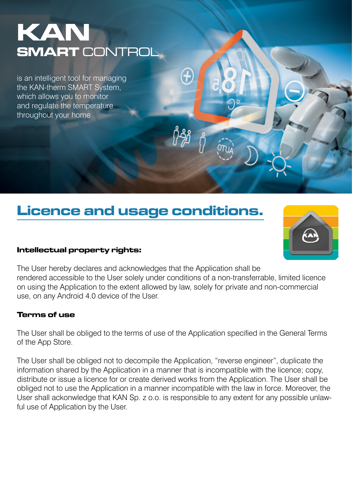# KAN SMART CONTROL

is an intelligent tool for managing the KAN-therm SMART System, which allows you to monitor and regulate the temperature throughout your home

# Licence and usage conditions.

#### Intellectual property rights:



The User hereby declares and acknowledges that the Application shall be rendered accessible to the User solely under conditions of a non-transferrable, limited licence on using the Application to the extent allowed by law, solely for private and non-commercial use, on any Android 4.0 device of the User.

#### Terms of use

The User shall be obliged to the terms of use of the Application specified in the General Terms of the App Store.

The User shall be obliged not to decompile the Application, "reverse engineer", duplicate the information shared by the Application in a manner that is incompatible with the licence; copy, distribute or issue a licence for or create derived works from the Application. The User shall be obliged not to use the Application in a manner incompatible with the law in force. Moreover, the User shall ackonwledge that KAN Sp. z o.o. is responsible to any extent for any possible unlawful use of Application by the User.